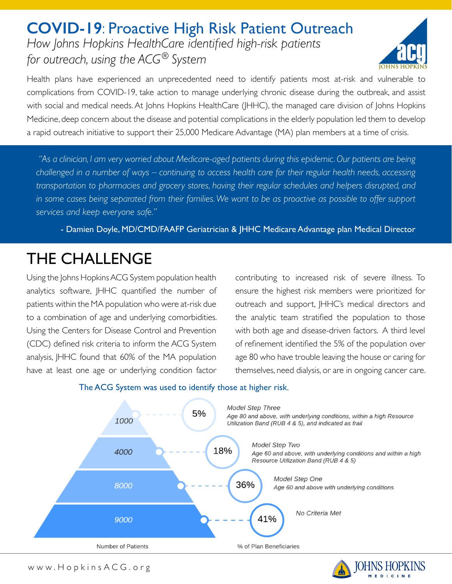#### *How Johns Hopkins HealthCare identified high-risk patients for outreach, using the ACG System ®* **COVID-19**: Proactive High Risk Patient Outreach



Health plans have experienced an unprecedented need to identify patients most at-risk and vulnerable to complications from COVID-19, take action to manage underlying chronic disease during the outbreak, and assist with social and medical needs. At Johns Hopkins HealthCare (JHHC), the managed care division of Johns Hopkins Medicine, deep concern about the disease and potential complications in the elderly population led them to develop a rapid outreach initiative to support their 25,000 Medicare Advantage (MA) plan members at a time of crisis.

 *"As a clinician, I am very worried about Medicare-aged patients during this epidemic. Our patients are being challenged in a number of ways – continuing to access health care for their regular health needs, accessing*  transportation to pharmacies and grocery stores, having their regular schedules and helpers disrupted, and *in some cases being separated from their families. We want to be as proactive as possible to offer support services and keep everyone safe."*

- Damien Doyle, MD/CMD/FAAFP Geriatrician & JHHC Medicare Advantage plan Medical Director

## THE CHALLENGE

Using the Johns Hopkins ACG System population health analytics software, JHHC quantified the number of patients within the MA population who were at-risk due to a combination of age and underlying comorbidities. Using the Centers for Disease Control and Prevention (CDC) defined risk criteria to inform the ACG System analysis, JHHC found that 60% of the MA population have at least one age or underlying condition factor

contributing to increased risk of severe illness. To ensure the highest risk members were prioritized for outreach and support, JHHC's medical directors and the analytic team stratified the population to those with both age and disease-driven factors. A third level of refinement identified the 5% of the population over age 80 who have trouble leaving the house or caring for themselves, need dialysis, or are in ongoing cancer care.



#### The ACG System was used to identify those at higher risk.

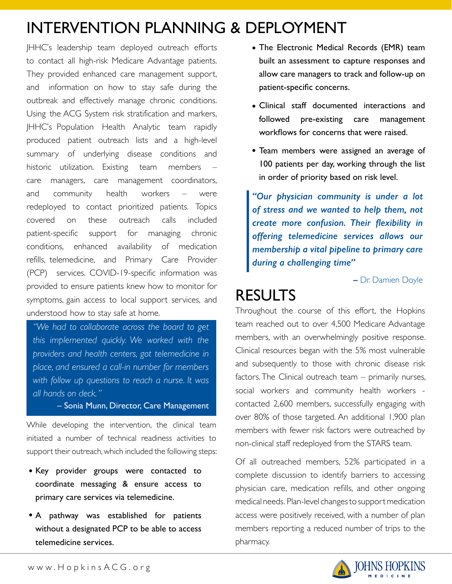### INTERVENTION PLANNING & DEPLOYMENT

JHHC's leadership team deployed outreach efforts to contact all high-risk Medicare Advantage patients. They provided enhanced care management support, and information on how to stay safe during the outbreak and effectively manage chronic conditions. Using the ACG System risk stratification and markers, JHHC's Population Health Analytic team rapidly produced patient outreach lists and a high-level summary of underlying disease conditions and historic utilization. Existing team members care managers, care management coordinators, and community health workers – were redeployed to contact prioritized patients. Topics covered on these outreach calls included patient-specific support for managing chronic conditions, enhanced availability of medication refills, telemedicine, and Primary Care Provider (PCP) services. COVID-19-specific information was provided to ensure patients knew how to monitor for symptoms, gain access to local support services, and understood how to stay safe at home.

*"We had to collaborate across the board to get this implemented quickly. We worked with the providers and health centers, got telemedicine in place, and ensured a call-in number for members with follow up questions to reach a nurse. It was all hands on deck. "* 

– Sonia Munn, Director, Care Management

While developing the intervention, the clinical team initiated a number of technical readiness activities to support their outreach, which included the following steps:

- Key provider groups were contacted to coordinate messaging & ensure access to primary care services via telemedicine.
- A pathway was established for patients without a designated PCP to be able to access telemedicine services.
- The Electronic Medical Records (EMR) team built an assessment to capture responses and allow care managers to track and follow-up on patient-specific concerns.
- Clinical staff documented interactions and followed pre-existing care management workflows for concerns that were raised.
- Team members were assigned an average of 100 patients per day, working through the list in order of priority based on risk level.

*"Our physician community is under a lot of stress and we wanted to help them, not create more confusion. Their flexibility in offering telemedicine services allows our membership a vital pipeline to primary care during a challenging time"* 

*–* Dr. Damien Doyle

# RESULTS

Throughout the course of this effort, the Hopkins team reached out to over 4,500 Medicare Advantage members, with an overwhelmingly positive response. Clinical resources began with the 5% most vulnerable and subsequently to those with chronic disease risk factors. The Clinical outreach team – primarily nurses, social workers and community health workers contacted 2,600 members, successfully engaging with over 80% of those targeted. An additional 1,900 plan members with fewer risk factors were outreached by non-clinical staff redeployed from the STARS team.

Of all outreached members, 52% participated in a complete discussion to identify barriers to accessing physician care, medication refills, and other ongoing medical needs. Plan-level changes to support medication access were positively received, with a number of plan members reporting a reduced number of trips to the pharmacy.